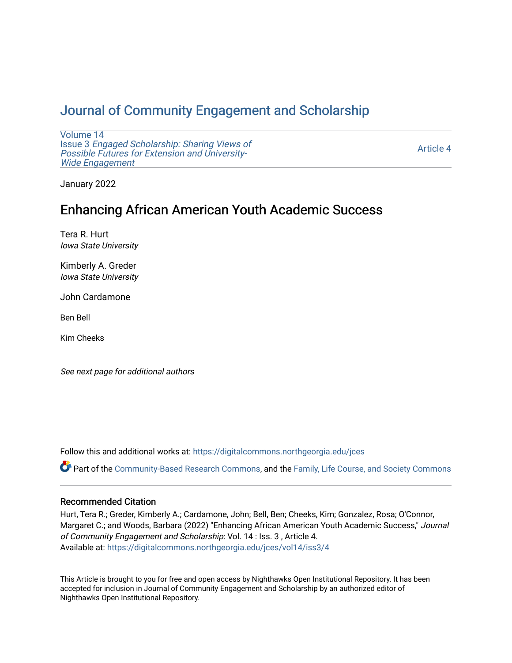# [Journal of Community Engagement and Scholarship](https://digitalcommons.northgeorgia.edu/jces)

[Volume 14](https://digitalcommons.northgeorgia.edu/jces/vol14) Issue 3 [Engaged Scholarship: Sharing Views of](https://digitalcommons.northgeorgia.edu/jces/vol14/iss3) [Possible Futures for Extension and University-](https://digitalcommons.northgeorgia.edu/jces/vol14/iss3)[Wide Engagement](https://digitalcommons.northgeorgia.edu/jces/vol14/iss3) 

[Article 4](https://digitalcommons.northgeorgia.edu/jces/vol14/iss3/4) 

January 2022

# Enhancing African American Youth Academic Success

Tera R. Hurt Iowa State University

Kimberly A. Greder Iowa State University

John Cardamone

Ben Bell

Kim Cheeks

See next page for additional authors

Follow this and additional works at: [https://digitalcommons.northgeorgia.edu/jces](https://digitalcommons.northgeorgia.edu/jces?utm_source=digitalcommons.northgeorgia.edu%2Fjces%2Fvol14%2Fiss3%2F4&utm_medium=PDF&utm_campaign=PDFCoverPages)

Part of the [Community-Based Research Commons](http://network.bepress.com/hgg/discipline/1047?utm_source=digitalcommons.northgeorgia.edu%2Fjces%2Fvol14%2Fiss3%2F4&utm_medium=PDF&utm_campaign=PDFCoverPages), and the [Family, Life Course, and Society Commons](http://network.bepress.com/hgg/discipline/419?utm_source=digitalcommons.northgeorgia.edu%2Fjces%2Fvol14%2Fiss3%2F4&utm_medium=PDF&utm_campaign=PDFCoverPages) 

## Recommended Citation

Hurt, Tera R.; Greder, Kimberly A.; Cardamone, John; Bell, Ben; Cheeks, Kim; Gonzalez, Rosa; O'Connor, Margaret C.; and Woods, Barbara (2022) "Enhancing African American Youth Academic Success," Journal of Community Engagement and Scholarship: Vol. 14 : Iss. 3 , Article 4. Available at: [https://digitalcommons.northgeorgia.edu/jces/vol14/iss3/4](https://digitalcommons.northgeorgia.edu/jces/vol14/iss3/4?utm_source=digitalcommons.northgeorgia.edu%2Fjces%2Fvol14%2Fiss3%2F4&utm_medium=PDF&utm_campaign=PDFCoverPages) 

This Article is brought to you for free and open access by Nighthawks Open Institutional Repository. It has been accepted for inclusion in Journal of Community Engagement and Scholarship by an authorized editor of Nighthawks Open Institutional Repository.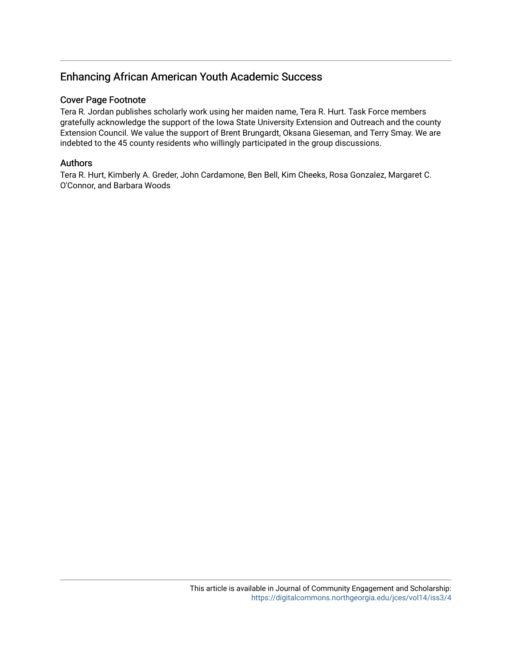## Enhancing African American Youth Academic Success

## Cover Page Footnote

Tera R. Jordan publishes scholarly work using her maiden name, Tera R. Hurt. Task Force members gratefully acknowledge the support of the Iowa State University Extension and Outreach and the county Extension Council. We value the support of Brent Brungardt, Oksana Gieseman, and Terry Smay. We are indebted to the 45 county residents who willingly participated in the group discussions.

## Authors

Tera R. Hurt, Kimberly A. Greder, John Cardamone, Ben Bell, Kim Cheeks, Rosa Gonzalez, Margaret C. O'Connor, and Barbara Woods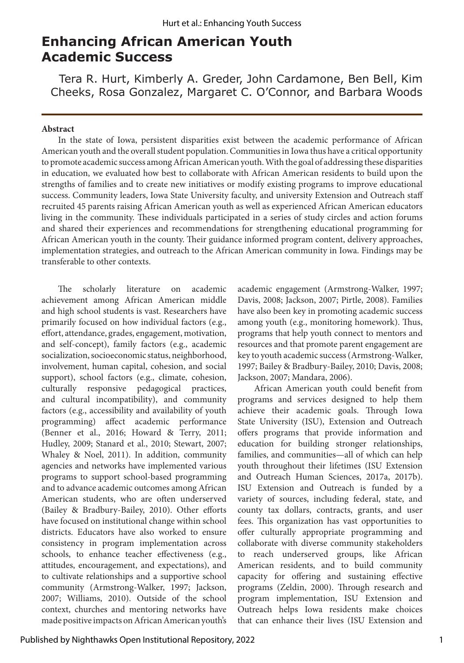# **Enhancing African American Youth Academic Success**

Tera R. Hurt, Kimberly A. Greder, John Cardamone, Ben Bell, Kim Cheeks, Rosa Gonzalez, Margaret C. O'Connor, and Barbara Woods

#### **Abstract**

In the state of Iowa, persistent disparities exist between the academic performance of African American youth and the overall student population. Communities in Iowa thus have a critical opportunity to promote academic success among African American youth. With the goal of addressing these disparities in education, we evaluated how best to collaborate with African American residents to build upon the strengths of families and to create new initiatives or modify existing programs to improve educational success. Community leaders, Iowa State University faculty, and university Extension and Outreach staff recruited 45 parents raising African American youth as well as experienced African American educators living in the community. These individuals participated in a series of study circles and action forums and shared their experiences and recommendations for strengthening educational programming for African American youth in the county. Their guidance informed program content, delivery approaches, implementation strategies, and outreach to the African American community in Iowa. Findings may be transferable to other contexts.

The scholarly literature on academic achievement among African American middle and high school students is vast. Researchers have primarily focused on how individual factors (e.g., effort, attendance, grades, engagement, motivation, and self-concept), family factors (e.g., academic socialization, socioeconomic status, neighborhood, involvement, human capital, cohesion, and social support), school factors (e.g., climate, cohesion, culturally responsive pedagogical practices, and cultural incompatibility), and community factors (e.g., accessibility and availability of youth programming) affect academic performance (Benner et al., 2016; Howard & Terry, 2011; Hudley, 2009; Stanard et al., 2010; Stewart, 2007; Whaley & Noel, 2011). In addition, community agencies and networks have implemented various programs to support school-based programming and to advance academic outcomes among African American students, who are often underserved (Bailey & Bradbury-Bailey, 2010). Other efforts have focused on institutional change within school districts. Educators have also worked to ensure consistency in program implementation across schools, to enhance teacher effectiveness (e.g., attitudes, encouragement, and expectations), and to cultivate relationships and a supportive school community (Armstrong-Walker, 1997; Jackson, 2007; Williams, 2010). Outside of the school context, churches and mentoring networks have made positive impacts on African American youth's

academic engagement (Armstrong-Walker, 1997; Davis, 2008; Jackson, 2007; Pirtle, 2008). Families have also been key in promoting academic success among youth (e.g., monitoring homework). Thus, programs that help youth connect to mentors and resources and that promote parent engagement are key to youth academic success (Armstrong-Walker, 1997; Bailey & Bradbury-Bailey, 2010; Davis, 2008; Jackson, 2007; Mandara, 2006).

African American youth could benefit from programs and services designed to help them achieve their academic goals. Through Iowa State University (ISU), Extension and Outreach offers programs that provide information and education for building stronger relationships, families, and communities—all of which can help youth throughout their lifetimes (ISU Extension and Outreach Human Sciences, 2017a, 2017b). ISU Extension and Outreach is funded by a variety of sources, including federal, state, and county tax dollars, contracts, grants, and user fees. This organization has vast opportunities to offer culturally appropriate programming and collaborate with diverse community stakeholders to reach underserved groups, like African American residents, and to build community capacity for offering and sustaining effective programs (Zeldin, 2000). Through research and program implementation, ISU Extension and Outreach helps Iowa residents make choices that can enhance their lives (ISU Extension and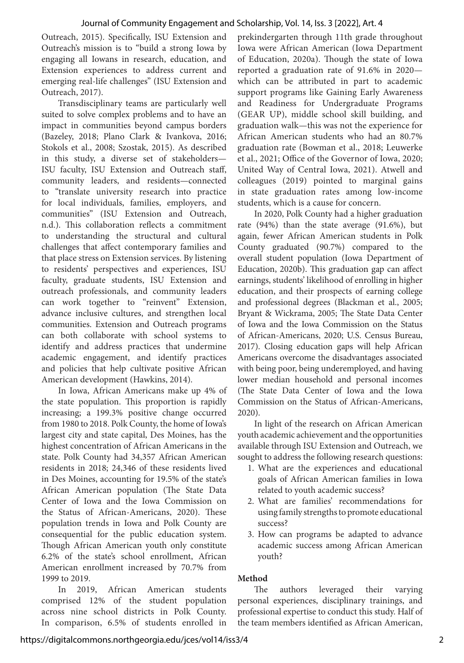Outreach, 2015). Specifically, ISU Extension and Outreach's mission is to "build a strong Iowa by engaging all Iowans in research, education, and Extension experiences to address current and emerging real-life challenges" (ISU Extension and Outreach, 2017).

Transdisciplinary teams are particularly well suited to solve complex problems and to have an impact in communities beyond campus borders (Bazeley, 2018; Plano Clark & Ivankova, 2016; Stokols et al., 2008; Szostak, 2015). As described in this study, a diverse set of stakeholders— ISU faculty, ISU Extension and Outreach staff, community leaders, and residents—connected to "translate university research into practice for local individuals, families, employers, and communities" (ISU Extension and Outreach, n.d.). This collaboration reflects a commitment to understanding the structural and cultural challenges that affect contemporary families and that place stress on Extension services. By listening to residents' perspectives and experiences, ISU faculty, graduate students, ISU Extension and outreach professionals, and community leaders can work together to "reinvent" Extension, advance inclusive cultures, and strengthen local communities. Extension and Outreach programs can both collaborate with school systems to identify and address practices that undermine academic engagement, and identify practices and policies that help cultivate positive African American development (Hawkins, 2014).

In Iowa, African Americans make up 4% of the state population. This proportion is rapidly increasing; a 199.3% positive change occurred from 1980 to 2018. Polk County, the home of Iowa's largest city and state capital, Des Moines, has the highest concentration of African Americans in the state. Polk County had 34,357 African American residents in 2018; 24,346 of these residents lived in Des Moines, accounting for 19.5% of the state's African American population (The State Data Center of Iowa and the Iowa Commission on the Status of African-Americans, 2020). These population trends in Iowa and Polk County are consequential for the public education system. Though African American youth only constitute 6.2% of the state's school enrollment, African American enrollment increased by 70.7% from 1999 to 2019.

In 2019, African American students comprised 12% of the student population across nine school districts in Polk County. In comparison, 6.5% of students enrolled in prekindergarten through 11th grade throughout Iowa were African American (Iowa Department of Education, 2020a). Though the state of Iowa reported a graduation rate of 91.6% in 2020 which can be attributed in part to academic support programs like Gaining Early Awareness and Readiness for Undergraduate Programs (GEAR UP), middle school skill building, and graduation walk—this was not the experience for African American students who had an 80.7% graduation rate (Bowman et al., 2018; Leuwerke et al., 2021; Office of the Governor of Iowa, 2020; United Way of Central Iowa, 2021). Atwell and colleagues (2019) pointed to marginal gains in state graduation rates among low-income students, which is a cause for concern.

In 2020, Polk County had a higher graduation rate (94%) than the state average (91.6%), but again, fewer African American students in Polk County graduated (90.7%) compared to the overall student population (Iowa Department of Education, 2020b). This graduation gap can affect earnings, students' likelihood of enrolling in higher education, and their prospects of earning college and professional degrees (Blackman et al., 2005; Bryant & Wickrama, 2005; The State Data Center of Iowa and the Iowa Commission on the Status of African-Americans, 2020; U.S. Census Bureau, 2017). Closing education gaps will help African Americans overcome the disadvantages associated with being poor, being underemployed, and having lower median household and personal incomes (The State Data Center of Iowa and the Iowa Commission on the Status of African-Americans, 2020).

In light of the research on African American youth academic achievement and the opportunities available through ISU Extension and Outreach, we sought to address the following research questions:

- 1. What are the experiences and educational goals of African American families in Iowa related to youth academic success?
- 2. What are families' recommendations for using family strengths to promote educational success?
- 3. How can programs be adapted to advance academic success among African American youth?

## **Method**

The authors leveraged their varying personal experiences, disciplinary trainings, and professional expertise to conduct this study. Half of the team members identified as African American,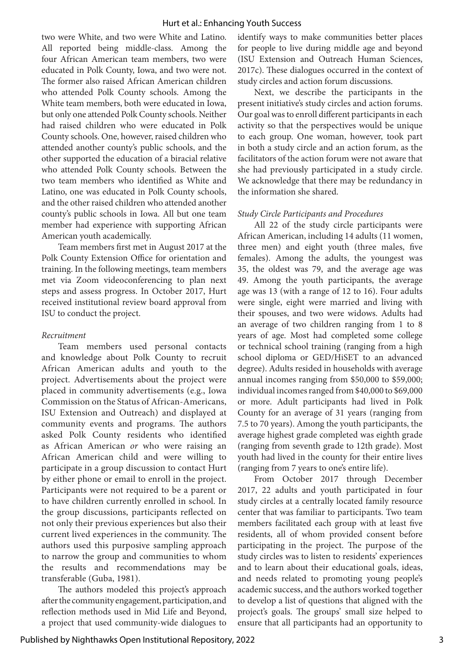two were White, and two were White and Latino. All reported being middle-class. Among the four African American team members, two were educated in Polk County, Iowa, and two were not. The former also raised African American children who attended Polk County schools. Among the White team members, both were educated in Iowa, but only one attended Polk County schools. Neither had raised children who were educated in Polk County schools. One, however, raised children who attended another county's public schools, and the other supported the education of a biracial relative who attended Polk County schools. Between the two team members who identified as White and Latino, one was educated in Polk County schools, and the other raised children who attended another county's public schools in Iowa. All but one team member had experience with supporting African American youth academically.

Team members first met in August 2017 at the Polk County Extension Office for orientation and training. In the following meetings, team members met via Zoom videoconferencing to plan next steps and assess progress. In October 2017, Hurt received institutional review board approval from ISU to conduct the project.

#### *Recruitment*

Team members used personal contacts and knowledge about Polk County to recruit African American adults and youth to the project. Advertisements about the project were placed in community advertisements (e.g., Iowa Commission on the Status of African-Americans, ISU Extension and Outreach) and displayed at community events and programs. The authors asked Polk County residents who identified as African American *or* who were raising an African American child and were willing to participate in a group discussion to contact Hurt by either phone or email to enroll in the project. Participants were not required to be a parent or to have children currently enrolled in school. In the group discussions, participants reflected on not only their previous experiences but also their current lived experiences in the community. The authors used this purposive sampling approach to narrow the group and communities to whom the results and recommendations may be transferable (Guba, 1981).

The authors modeled this project's approach after the community engagement, participation, and reflection methods used in Mid Life and Beyond, a project that used community-wide dialogues to identify ways to make communities better places for people to live during middle age and beyond (ISU Extension and Outreach Human Sciences, 2017c). These dialogues occurred in the context of study circles and action forum discussions.

Next, we describe the participants in the present initiative's study circles and action forums. Our goal was to enroll different participants in each activity so that the perspectives would be unique to each group. One woman, however, took part in both a study circle and an action forum, as the facilitators of the action forum were not aware that she had previously participated in a study circle. We acknowledge that there may be redundancy in the information she shared.

#### *Study Circle Participants and Procedures*

All 22 of the study circle participants were African American, including 14 adults (11 women, three men) and eight youth (three males, five females). Among the adults, the youngest was 35, the oldest was 79, and the average age was 49. Among the youth participants, the average age was 13 (with a range of 12 to 16). Four adults were single, eight were married and living with their spouses, and two were widows. Adults had an average of two children ranging from 1 to 8 years of age. Most had completed some college or technical school training (ranging from a high school diploma or GED/HiSET to an advanced degree). Adults resided in households with average annual incomes ranging from \$50,000 to \$59,000; individual incomes ranged from \$40,000 to \$69,000 or more. Adult participants had lived in Polk County for an average of 31 years (ranging from 7.5 to 70 years). Among the youth participants, the average highest grade completed was eighth grade (ranging from seventh grade to 12th grade). Most youth had lived in the county for their entire lives (ranging from 7 years to one's entire life).

From October 2017 through December 2017, 22 adults and youth participated in four study circles at a centrally located family resource center that was familiar to participants. Two team members facilitated each group with at least five residents, all of whom provided consent before participating in the project. The purpose of the study circles was to listen to residents' experiences and to learn about their educational goals, ideas, and needs related to promoting young people's academic success, and the authors worked together to develop a list of questions that aligned with the project's goals. The groups' small size helped to ensure that all participants had an opportunity to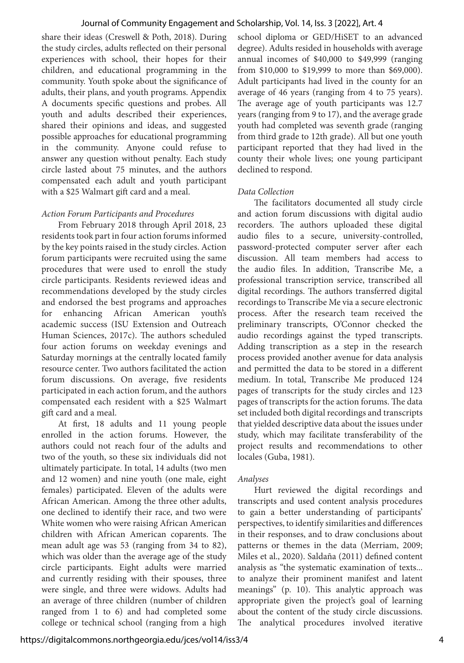share their ideas (Creswell & Poth, 2018). During the study circles, adults reflected on their personal experiences with school, their hopes for their children, and educational programming in the community. Youth spoke about the significance of adults, their plans, and youth programs. Appendix A documents specific questions and probes. All youth and adults described their experiences, shared their opinions and ideas, and suggested possible approaches for educational programming in the community. Anyone could refuse to answer any question without penalty. Each study circle lasted about 75 minutes, and the authors compensated each adult and youth participant with a \$25 Walmart gift card and a meal.

#### *Action Forum Participants and Procedures*

From February 2018 through April 2018, 23 residents took part in four action forums informed by the key points raised in the study circles. Action forum participants were recruited using the same procedures that were used to enroll the study circle participants. Residents reviewed ideas and recommendations developed by the study circles and endorsed the best programs and approaches for enhancing African American youth's academic success (ISU Extension and Outreach Human Sciences, 2017c). The authors scheduled four action forums on weekday evenings and Saturday mornings at the centrally located family resource center. Two authors facilitated the action forum discussions. On average, five residents participated in each action forum, and the authors compensated each resident with a \$25 Walmart gift card and a meal.

At first, 18 adults and 11 young people enrolled in the action forums. However, the authors could not reach four of the adults and two of the youth, so these six individuals did not ultimately participate. In total, 14 adults (two men and 12 women) and nine youth (one male, eight females) participated. Eleven of the adults were African American. Among the three other adults, one declined to identify their race, and two were White women who were raising African American children with African American coparents. The mean adult age was 53 (ranging from 34 to 82), which was older than the average age of the study circle participants. Eight adults were married and currently residing with their spouses, three were single, and three were widows. Adults had an average of three children (number of children ranged from 1 to 6) and had completed some college or technical school (ranging from a high

school diploma or GED/HiSET to an advanced degree). Adults resided in households with average annual incomes of \$40,000 to \$49,999 (ranging from \$10,000 to \$19,999 to more than \$69,000). Adult participants had lived in the county for an average of 46 years (ranging from 4 to 75 years). The average age of youth participants was 12.7 years (ranging from 9 to 17), and the average grade youth had completed was seventh grade (ranging from third grade to 12th grade). All but one youth participant reported that they had lived in the county their whole lives; one young participant declined to respond.

#### *Data Collection*

The facilitators documented all study circle and action forum discussions with digital audio recorders. The authors uploaded these digital audio files to a secure, university-controlled, password-protected computer server after each discussion. All team members had access to the audio files. In addition, Transcribe Me, a professional transcription service, transcribed all digital recordings. The authors transferred digital recordings to Transcribe Me via a secure electronic process. After the research team received the preliminary transcripts, O'Connor checked the audio recordings against the typed transcripts. Adding transcription as a step in the research process provided another avenue for data analysis and permitted the data to be stored in a different medium. In total, Transcribe Me produced 124 pages of transcripts for the study circles and 123 pages of transcripts for the action forums. The data set included both digital recordings and transcripts that yielded descriptive data about the issues under study, which may facilitate transferability of the project results and recommendations to other locales (Guba, 1981).

#### *Analyses*

Hurt reviewed the digital recordings and transcripts and used content analysis procedures to gain a better understanding of participants' perspectives, to identify similarities and differences in their responses, and to draw conclusions about patterns or themes in the data (Merriam, 2009; Miles et al., 2020). Saldaña (2011) defined content analysis as "the systematic examination of texts... to analyze their prominent manifest and latent meanings" (p. 10). This analytic approach was appropriate given the project's goal of learning about the content of the study circle discussions. The analytical procedures involved iterative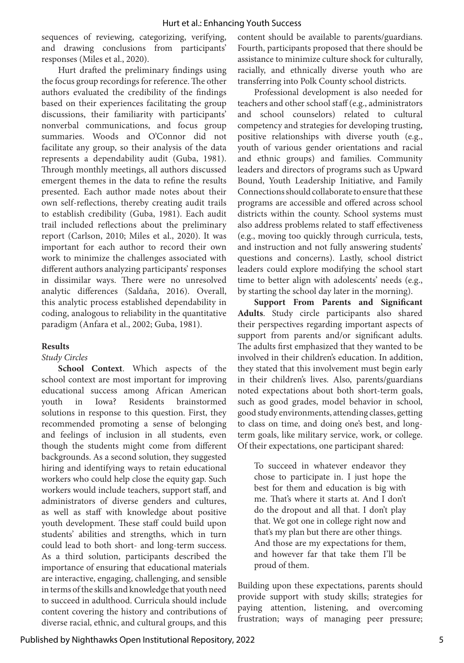sequences of reviewing, categorizing, verifying, and drawing conclusions from participants' responses (Miles et al., 2020).

Hurt drafted the preliminary findings using the focus group recordings for reference. The other authors evaluated the credibility of the findings based on their experiences facilitating the group discussions, their familiarity with participants' nonverbal communications, and focus group summaries. Woods and O'Connor did not facilitate any group, so their analysis of the data represents a dependability audit (Guba, 1981). Through monthly meetings, all authors discussed emergent themes in the data to refine the results presented. Each author made notes about their own self-reflections, thereby creating audit trails to establish credibility (Guba, 1981). Each audit trail included reflections about the preliminary report (Carlson, 2010; Miles et al., 2020). It was important for each author to record their own work to minimize the challenges associated with different authors analyzing participants' responses in dissimilar ways. There were no unresolved analytic differences (Saldaña, 2016). Overall, this analytic process established dependability in coding, analogous to reliability in the quantitative paradigm (Anfara et al., 2002; Guba, 1981).

## **Results**

## *Study Circles*

**School Context**. Which aspects of the school context are most important for improving educational success among African American youth in Iowa? Residents brainstormed solutions in response to this question. First, they recommended promoting a sense of belonging and feelings of inclusion in all students, even though the students might come from different backgrounds. As a second solution, they suggested hiring and identifying ways to retain educational workers who could help close the equity gap. Such workers would include teachers, support staff, and administrators of diverse genders and cultures, as well as staff with knowledge about positive youth development. These staff could build upon students' abilities and strengths, which in turn could lead to both short- and long-term success. As a third solution, participants described the importance of ensuring that educational materials are interactive, engaging, challenging, and sensible in terms of the skills and knowledge that youth need to succeed in adulthood. Curricula should include content covering the history and contributions of diverse racial, ethnic, and cultural groups, and this

content should be available to parents/guardians. Fourth, participants proposed that there should be assistance to minimize culture shock for culturally, racially, and ethnically diverse youth who are transferring into Polk County school districts.

Professional development is also needed for teachers and other school staff (e.g., administrators and school counselors) related to cultural competency and strategies for developing trusting, positive relationships with diverse youth (e.g., youth of various gender orientations and racial and ethnic groups) and families. Community leaders and directors of programs such as Upward Bound, Youth Leadership Initiative, and Family Connections should collaborate to ensure that these programs are accessible and offered across school districts within the county. School systems must also address problems related to staff effectiveness (e.g., moving too quickly through curricula, tests, and instruction and not fully answering students' questions and concerns). Lastly, school district leaders could explore modifying the school start time to better align with adolescents' needs (e.g., by starting the school day later in the morning).

**Support From Parents and Significant Adults**. Study circle participants also shared their perspectives regarding important aspects of support from parents and/or significant adults. The adults first emphasized that they wanted to be involved in their children's education. In addition, they stated that this involvement must begin early in their children's lives. Also, parents/guardians noted expectations about both short-term goals, such as good grades, model behavior in school, good study environments, attending classes, getting to class on time, and doing one's best, and longterm goals, like military service, work, or college. Of their expectations, one participant shared:

To succeed in whatever endeavor they chose to participate in. I just hope the best for them and education is big with me. That's where it starts at. And I don't do the dropout and all that. I don't play that. We got one in college right now and that's my plan but there are other things. And those are my expectations for them, and however far that take them I'll be proud of them.

Building upon these expectations, parents should provide support with study skills; strategies for paying attention, listening, and overcoming frustration; ways of managing peer pressure;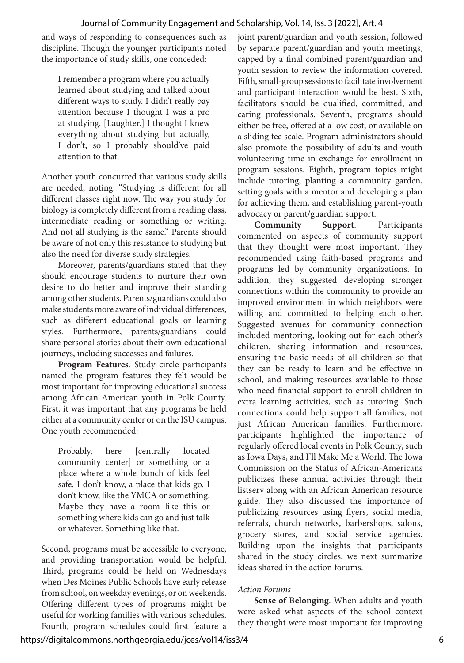and ways of responding to consequences such as discipline. Though the younger participants noted the importance of study skills, one conceded:

I remember a program where you actually learned about studying and talked about different ways to study. I didn't really pay attention because I thought I was a pro at studying. [Laughter.] I thought I knew everything about studying but actually, I don't, so I probably should've paid attention to that.

Another youth concurred that various study skills are needed, noting: "Studying is different for all different classes right now. The way you study for biology is completely different from a reading class, intermediate reading or something or writing. And not all studying is the same." Parents should be aware of not only this resistance to studying but also the need for diverse study strategies.

Moreover, parents/guardians stated that they should encourage students to nurture their own desire to do better and improve their standing among other students. Parents/guardians could also make students more aware of individual differences, such as different educational goals or learning styles. Furthermore, parents/guardians could share personal stories about their own educational journeys, including successes and failures.

**Program Features**. Study circle participants named the program features they felt would be most important for improving educational success among African American youth in Polk County. First, it was important that any programs be held either at a community center or on the ISU campus. One youth recommended:

Probably, here [centrally located community center] or something or a place where a whole bunch of kids feel safe. I don't know, a place that kids go. I don't know, like the YMCA or something. Maybe they have a room like this or something where kids can go and just talk or whatever. Something like that.

Second, programs must be accessible to everyone, and providing transportation would be helpful. Third, programs could be held on Wednesdays when Des Moines Public Schools have early release from school, on weekday evenings, or on weekends. Offering different types of programs might be useful for working families with various schedules. Fourth, program schedules could first feature a joint parent/guardian and youth session, followed by separate parent/guardian and youth meetings, capped by a final combined parent/guardian and youth session to review the information covered. Fifth, small-group sessions to facilitate involvement and participant interaction would be best. Sixth, facilitators should be qualified, committed, and caring professionals. Seventh, programs should either be free, offered at a low cost, or available on a sliding fee scale. Program administrators should also promote the possibility of adults and youth volunteering time in exchange for enrollment in program sessions. Eighth, program topics might include tutoring, planting a community garden, setting goals with a mentor and developing a plan for achieving them, and establishing parent-youth advocacy or parent/guardian support.

**Community Support**. Participants commented on aspects of community support that they thought were most important. They recommended using faith-based programs and programs led by community organizations. In addition, they suggested developing stronger connections within the community to provide an improved environment in which neighbors were willing and committed to helping each other. Suggested avenues for community connection included mentoring, looking out for each other's children, sharing information and resources, ensuring the basic needs of all children so that they can be ready to learn and be effective in school, and making resources available to those who need financial support to enroll children in extra learning activities, such as tutoring. Such connections could help support all families, not just African American families. Furthermore, participants highlighted the importance of regularly offered local events in Polk County, such as Iowa Days, and I'll Make Me a World. The Iowa Commission on the Status of African-Americans publicizes these annual activities through their listserv along with an African American resource guide. They also discussed the importance of publicizing resources using flyers, social media, referrals, church networks, barbershops, salons, grocery stores, and social service agencies. Building upon the insights that participants shared in the study circles, we next summarize ideas shared in the action forums.

## *Action Forums*

**Sense of Belonging**. When adults and youth were asked what aspects of the school context they thought were most important for improving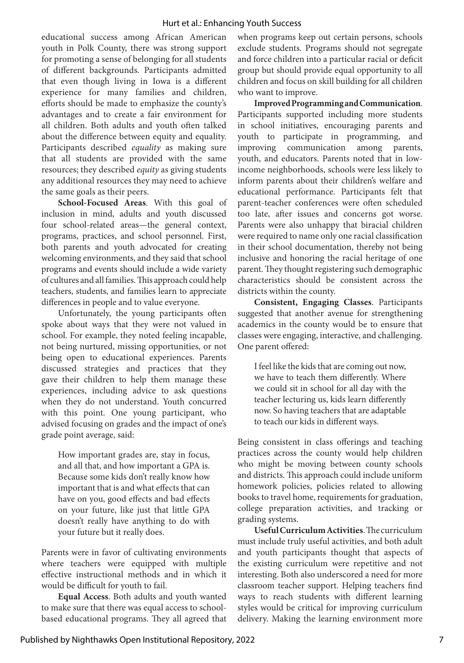educational success among African American youth in Polk County, there was strong support for promoting a sense of belonging for all students of different backgrounds. Participants admitted that even though living in Iowa is a different experience for many families and children, efforts should be made to emphasize the county's advantages and to create a fair environment for all children. Both adults and youth often talked about the difference between equity and equality. Participants described *equality* as making sure that all students are provided with the same resources; they described *equity* as giving students any additional resources they may need to achieve the same goals as their peers.

**School-Focused Areas**. With this goal of inclusion in mind, adults and youth discussed four school-related areas—the general context, programs, practices, and school personnel. First, both parents and youth advocated for creating welcoming environments, and they said that school programs and events should include a wide variety of cultures and all families. This approach could help teachers, students, and families learn to appreciate differences in people and to value everyone.

Unfortunately, the young participants often spoke about ways that they were not valued in school. For example, they noted feeling incapable, not being nurtured, missing opportunities, or not being open to educational experiences. Parents discussed strategies and practices that they gave their children to help them manage these experiences, including advice to ask questions when they do not understand. Youth concurred with this point. One young participant, who advised focusing on grades and the impact of one's grade point average, said:

How important grades are, stay in focus, and all that, and how important a GPA is. Because some kids don't really know how important that is and what effects that can have on you, good effects and bad effects on your future, like just that little GPA doesn't really have anything to do with your future but it really does.

Parents were in favor of cultivating environments where teachers were equipped with multiple effective instructional methods and in which it would be difficult for youth to fail.

**Equal Access**. Both adults and youth wanted to make sure that there was equal access to schoolbased educational programs. They all agreed that when programs keep out certain persons, schools exclude students. Programs should not segregate and force children into a particular racial or deficit group but should provide equal opportunity to all children and focus on skill building for all children who want to improve.

**Improved Programming and Communication**. Participants supported including more students in school initiatives, encouraging parents and youth to participate in programming, and improving communication among parents, youth, and educators. Parents noted that in lowincome neighborhoods, schools were less likely to inform parents about their children's welfare and educational performance. Participants felt that parent-teacher conferences were often scheduled too late, after issues and concerns got worse. Parents were also unhappy that biracial children were required to name only one racial classification in their school documentation, thereby not being inclusive and honoring the racial heritage of one parent. They thought registering such demographic characteristics should be consistent across the districts within the county.

**Consistent, Engaging Classes**. Participants suggested that another avenue for strengthening academics in the county would be to ensure that classes were engaging, interactive, and challenging. One parent offered:

I feel like the kids that are coming out now, we have to teach them differently. Where we could sit in school for all day with the teacher lecturing us, kids learn differently now. So having teachers that are adaptable to teach our kids in different ways.

Being consistent in class offerings and teaching practices across the county would help children who might be moving between county schools and districts. This approach could include uniform homework policies, policies related to allowing books to travel home, requirements for graduation, college preparation activities, and tracking or grading systems.

**Useful Curriculum Activities**. The curriculum must include truly useful activities, and both adult and youth participants thought that aspects of the existing curriculum were repetitive and not interesting. Both also underscored a need for more classroom teacher support. Helping teachers find ways to reach students with different learning styles would be critical for improving curriculum delivery. Making the learning environment more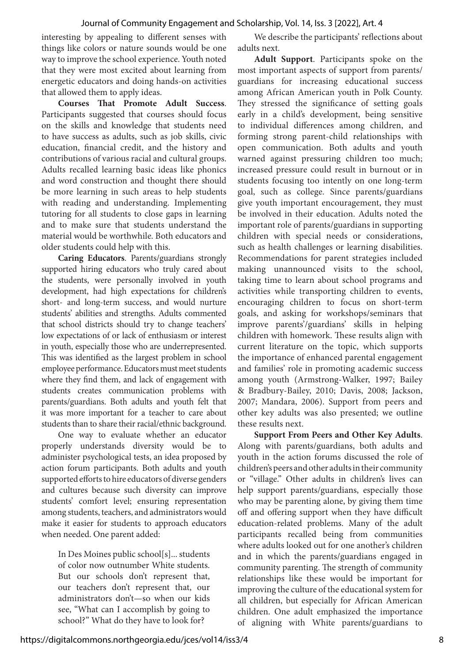interesting by appealing to different senses with things like colors or nature sounds would be one way to improve the school experience. Youth noted that they were most excited about learning from energetic educators and doing hands-on activities that allowed them to apply ideas.

**Courses That Promote Adult Success**. Participants suggested that courses should focus on the skills and knowledge that students need to have success as adults, such as job skills, civic education, financial credit, and the history and contributions of various racial and cultural groups. Adults recalled learning basic ideas like phonics and word construction and thought there should be more learning in such areas to help students with reading and understanding. Implementing tutoring for all students to close gaps in learning and to make sure that students understand the material would be worthwhile. Both educators and older students could help with this.

**Caring Educators**. Parents/guardians strongly supported hiring educators who truly cared about the students, were personally involved in youth development, had high expectations for children's short- and long-term success, and would nurture students' abilities and strengths. Adults commented that school districts should try to change teachers' low expectations of or lack of enthusiasm or interest in youth, especially those who are underrepresented. This was identified as the largest problem in school employee performance. Educators must meet students where they find them, and lack of engagement with students creates communication problems with parents/guardians. Both adults and youth felt that it was more important for a teacher to care about students than to share their racial/ethnic background.

One way to evaluate whether an educator properly understands diversity would be to administer psychological tests, an idea proposed by action forum participants. Both adults and youth supported efforts to hire educators of diverse genders and cultures because such diversity can improve students' comfort level; ensuring representation among students, teachers, and administrators would make it easier for students to approach educators when needed. One parent added:

In Des Moines public school[s]... students of color now outnumber White students. But our schools don't represent that, our teachers don't represent that, our administrators don't—so when our kids see, "What can I accomplish by going to school?" What do they have to look for?

We describe the participants' reflections about adults next.

**Adult Support**. Participants spoke on the most important aspects of support from parents/ guardians for increasing educational success among African American youth in Polk County. They stressed the significance of setting goals early in a child's development, being sensitive to individual differences among children, and forming strong parent-child relationships with open communication. Both adults and youth warned against pressuring children too much; increased pressure could result in burnout or in students focusing too intently on one long-term goal, such as college. Since parents/guardians give youth important encouragement, they must be involved in their education. Adults noted the important role of parents/guardians in supporting children with special needs or considerations, such as health challenges or learning disabilities. Recommendations for parent strategies included making unannounced visits to the school, taking time to learn about school programs and activities while transporting children to events, encouraging children to focus on short-term goals, and asking for workshops/seminars that improve parents'/guardians' skills in helping children with homework. These results align with current literature on the topic, which supports the importance of enhanced parental engagement and families' role in promoting academic success among youth (Armstrong-Walker, 1997; Bailey & Bradbury-Bailey, 2010; Davis, 2008; Jackson, 2007; Mandara, 2006). Support from peers and other key adults was also presented; we outline these results next.

**Support From Peers and Other Key Adults**. Along with parents/guardians, both adults and youth in the action forums discussed the role of children's peers and other adults in their community or "village." Other adults in children's lives can help support parents/guardians, especially those who may be parenting alone, by giving them time off and offering support when they have difficult education-related problems. Many of the adult participants recalled being from communities where adults looked out for one another's children and in which the parents/guardians engaged in community parenting. The strength of community relationships like these would be important for improving the culture of the educational system for all children, but especially for African American children. One adult emphasized the importance of aligning with White parents/guardians to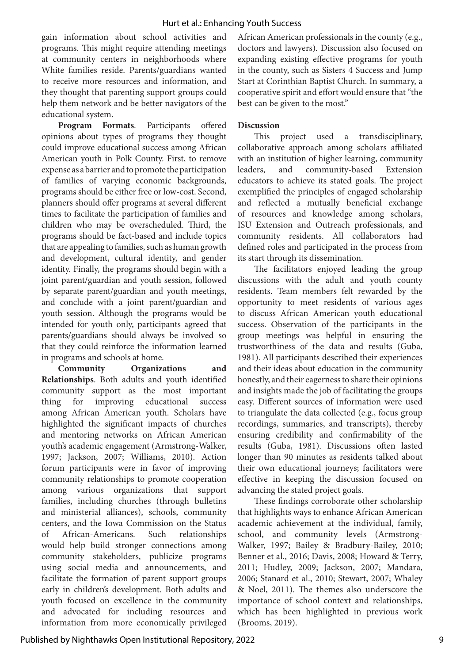gain information about school activities and programs. This might require attending meetings at community centers in neighborhoods where White families reside. Parents/guardians wanted to receive more resources and information, and they thought that parenting support groups could help them network and be better navigators of the educational system.

**Program Formats**. Participants offered opinions about types of programs they thought could improve educational success among African American youth in Polk County. First, to remove expense as a barrier and to promote the participation of families of varying economic backgrounds, programs should be either free or low-cost. Second, planners should offer programs at several different times to facilitate the participation of families and children who may be overscheduled. Third, the programs should be fact-based and include topics that are appealing to families, such as human growth and development, cultural identity, and gender identity. Finally, the programs should begin with a joint parent/guardian and youth session, followed by separate parent/guardian and youth meetings, and conclude with a joint parent/guardian and youth session. Although the programs would be intended for youth only, participants agreed that parents/guardians should always be involved so that they could reinforce the information learned in programs and schools at home.

**Community Organizations and Relationships**. Both adults and youth identified community support as the most important thing for improving educational success among African American youth. Scholars have highlighted the significant impacts of churches and mentoring networks on African American youth's academic engagement (Armstrong-Walker, 1997; Jackson, 2007; Williams, 2010). Action forum participants were in favor of improving community relationships to promote cooperation among various organizations that support families, including churches (through bulletins and ministerial alliances), schools, community centers, and the Iowa Commission on the Status of African-Americans. Such relationships would help build stronger connections among community stakeholders, publicize programs using social media and announcements, and facilitate the formation of parent support groups early in children's development. Both adults and youth focused on excellence in the community and advocated for including resources and information from more economically privileged

African American professionals in the county (e.g., doctors and lawyers). Discussion also focused on expanding existing effective programs for youth in the county, such as Sisters 4 Success and Jump Start at Corinthian Baptist Church. In summary, a cooperative spirit and effort would ensure that "the best can be given to the most."

#### **Discussion**

This project used a transdisciplinary, collaborative approach among scholars affiliated with an institution of higher learning, community leaders, and community-based Extension educators to achieve its stated goals. The project exemplified the principles of engaged scholarship and reflected a mutually beneficial exchange of resources and knowledge among scholars, ISU Extension and Outreach professionals, and community residents. All collaborators had defined roles and participated in the process from its start through its dissemination.

The facilitators enjoyed leading the group discussions with the adult and youth county residents. Team members felt rewarded by the opportunity to meet residents of various ages to discuss African American youth educational success. Observation of the participants in the group meetings was helpful in ensuring the trustworthiness of the data and results (Guba, 1981). All participants described their experiences and their ideas about education in the community honestly, and their eagerness to share their opinions and insights made the job of facilitating the groups easy. Different sources of information were used to triangulate the data collected (e.g., focus group recordings, summaries, and transcripts), thereby ensuring credibility and confirmability of the results (Guba, 1981). Discussions often lasted longer than 90 minutes as residents talked about their own educational journeys; facilitators were effective in keeping the discussion focused on advancing the stated project goals.

These findings corroborate other scholarship that highlights ways to enhance African American academic achievement at the individual, family, school, and community levels (Armstrong-Walker, 1997; Bailey & Bradbury-Bailey, 2010; Benner et al., 2016; Davis, 2008; Howard & Terry, 2011; Hudley, 2009; Jackson, 2007; Mandara, 2006; Stanard et al., 2010; Stewart, 2007; Whaley & Noel, 2011). The themes also underscore the importance of school context and relationships, which has been highlighted in previous work (Brooms, 2019).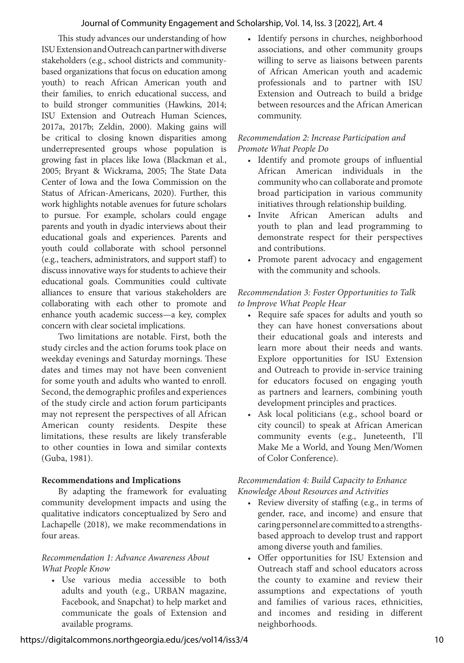This study advances our understanding of how ISU Extension and Outreach can partner with diverse stakeholders (e.g., school districts and communitybased organizations that focus on education among youth) to reach African American youth and their families, to enrich educational success, and to build stronger communities (Hawkins, 2014; ISU Extension and Outreach Human Sciences, 2017a, 2017b; Zeldin, 2000). Making gains will be critical to closing known disparities among underrepresented groups whose population is growing fast in places like Iowa (Blackman et al., 2005; Bryant & Wickrama, 2005; The State Data Center of Iowa and the Iowa Commission on the Status of African-Americans, 2020). Further, this work highlights notable avenues for future scholars to pursue. For example, scholars could engage parents and youth in dyadic interviews about their educational goals and experiences. Parents and youth could collaborate with school personnel (e.g., teachers, administrators, and support staff) to discuss innovative ways for students to achieve their educational goals. Communities could cultivate alliances to ensure that various stakeholders are collaborating with each other to promote and enhance youth academic success—a key, complex concern with clear societal implications.

Two limitations are notable. First, both the study circles and the action forums took place on weekday evenings and Saturday mornings. These dates and times may not have been convenient for some youth and adults who wanted to enroll. Second, the demographic profiles and experiences of the study circle and action forum participants may not represent the perspectives of all African American county residents. Despite these limitations, these results are likely transferable to other counties in Iowa and similar contexts (Guba, 1981).

## **Recommendations and Implications**

By adapting the framework for evaluating community development impacts and using the qualitative indicators conceptualized by Sero and Lachapelle (2018), we make recommendations in four areas.

## *Recommendation 1: Advance Awareness About What People Know*

• Use various media accessible to both adults and youth (e.g., URBAN magazine, Facebook, and Snapchat) to help market and communicate the goals of Extension and available programs.

• Identify persons in churches, neighborhood associations, and other community groups willing to serve as liaisons between parents of African American youth and academic professionals and to partner with ISU Extension and Outreach to build a bridge between resources and the African American community.

## *Recommendation 2: Increase Participation and Promote What People Do*

- Identify and promote groups of influential African American individuals in the community who can collaborate and promote broad participation in various community initiatives through relationship building.
- Invite African American adults and youth to plan and lead programming to demonstrate respect for their perspectives and contributions.
- Promote parent advocacy and engagement with the community and schools.

## *Recommendation 3: Foster Opportunities to Talk to Improve What People Hear*

- Require safe spaces for adults and youth so they can have honest conversations about their educational goals and interests and learn more about their needs and wants. Explore opportunities for ISU Extension and Outreach to provide in-service training for educators focused on engaging youth as partners and learners, combining youth development principles and practices.
- Ask local politicians (e.g., school board or city council) to speak at African American community events (e.g., Juneteenth, I'll Make Me a World, and Young Men/Women of Color Conference).

## *Recommendation 4: Build Capacity to Enhance Knowledge About Resources and Activities*

- Review diversity of staffing (e.g., in terms of gender, race, and income) and ensure that caring personnel are committed to a strengthsbased approach to develop trust and rapport among diverse youth and families.
- Offer opportunities for ISU Extension and Outreach staff and school educators across the county to examine and review their assumptions and expectations of youth and families of various races, ethnicities, and incomes and residing in different neighborhoods.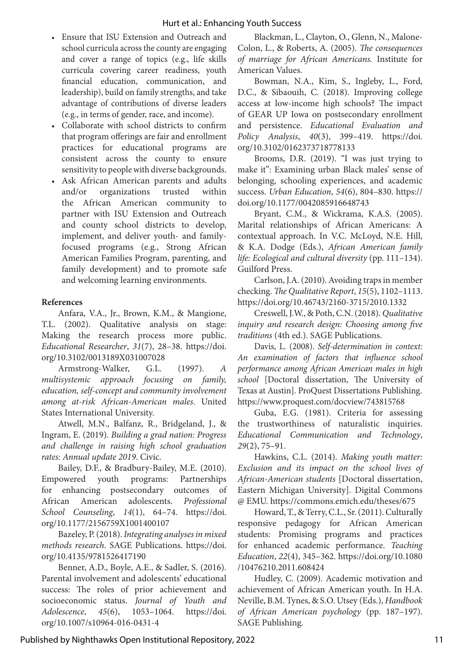- Ensure that ISU Extension and Outreach and school curricula across the county are engaging and cover a range of topics (e.g., life skills curricula covering career readiness, youth financial education, communication, and leadership), build on family strengths, and take advantage of contributions of diverse leaders (e.g., in terms of gender, race, and income).
- Collaborate with school districts to confirm that program offerings are fair and enrollment practices for educational programs are consistent across the county to ensure sensitivity to people with diverse backgrounds.
- Ask African American parents and adults and/or organizations trusted within the African American community to partner with ISU Extension and Outreach and county school districts to develop, implement, and deliver youth- and familyfocused programs (e.g., Strong African American Families Program, parenting, and family development) and to promote safe and welcoming learning environments.

## **References**

Anfara, V.A., Jr., Brown, K.M., & Mangione, T.L. (2002). Qualitative analysis on stage: Making the research process more public. *Educational Researcher*, *31*(7), 28–38. https://doi. org/10.3102/0013189X031007028

Armstrong-Walker, G.L. (1997). *A multisystemic approach focusing on family, education, self-concept and community involvement among at-risk African-American males*. United States International University.

Atwell, M.N., Balfanz, R., Bridgeland, J., & Ingram, E. (2019). *Building a grad nation: Progress and challenge in raising high school graduation rates: Annual update 2019*. Civic.

Bailey, D.F., & Bradbury-Bailey, M.E. (2010). Empowered youth programs: Partnerships for enhancing postsecondary outcomes of African American adolescents. *Professional School Counseling*, *14*(1), 64–74. https://doi. org/10.1177/2156759X1001400107

Bazeley, P. (2018). *Integrating analyses in mixed methods research.* SAGE Publications. https://doi. org/10.4135/9781526417190

Benner, A.D., Boyle, A.E., & Sadler, S. (2016). Parental involvement and adolescents' educational success: The roles of prior achievement and socioeconomic status. *Journal of Youth and Adolescence*, *45*(6), 1053–1064. https://doi. org/10.1007/s10964-016-0431-4

Blackman, L., Clayton, O., Glenn, N., Malone-Colon, L., & Roberts, A. (2005). *The consequences of marriage for African Americans.* Institute for American Values.

Bowman, N.A., Kim, S., Ingleby, L., Ford, D.C., & Sibaouih, C. (2018). Improving college access at low-income high schools? The impact of GEAR UP Iowa on postsecondary enrollment and persistence. *Educational Evaluation and Policy Analysis*, *40*(3), 399–419. https://doi. org/10.3102/0162373718778133

Brooms, D.R. (2019). "I was just trying to make it": Examining urban Black males' sense of belonging, schooling experiences, and academic success. *Urban Education*, *54*(6), 804–830. https:// doi.org/10.1177/0042085916648743

Bryant, C.M., & Wickrama, K.A.S. (2005). Marital relationships of African Americans: A contextual approach. In V.C. McLoyd, N.E. Hill, & K.A. Dodge (Eds.), *African American family life: Ecological and cultural diversity* (pp. 111–134). Guilford Press.

Carlson, J.A. (2010). Avoiding traps in member checking. *The Qualitative Report*, *15*(5), 1102–1113. https://doi.org/10.46743/2160-3715/2010.1332

Creswell, J.W., & Poth, C.N. (2018). *Qualitative inquiry and research design: Choosing among five traditions* (4th ed.). SAGE Publications.

Davis, L. (2008). *Self-determination in context: An examination of factors that influence school performance among African American males in high school* [Doctoral dissertation, The University of Texas at Austin]. ProQuest Dissertations Publishing. https://www.proquest.com/docview/743815768

Guba, E.G. (1981). Criteria for assessing the trustworthiness of naturalistic inquiries. *Educational Communication and Technology*, *29*(2), 75–91.

Hawkins, C.L. (2014). *Making youth matter: Exclusion and its impact on the school lives of African-American students* [Doctoral dissertation, Eastern Michigan University]. Digital Commons @ EMU. https://commons.emich.edu/theses/675

Howard, T., & Terry, C.L., Sr. (2011). Culturally responsive pedagogy for African American students: Promising programs and practices for enhanced academic performance. *Teaching Education*, *22*(4), 345–362. https://doi.org/10.1080 /10476210.2011.608424

Hudley, C. (2009). Academic motivation and achievement of African American youth. In H.A. Neville, B.M. Tynes, & S.O. Utsey (Eds.), *Handbook of African American psychology* (pp. 187–197). SAGE Publishing.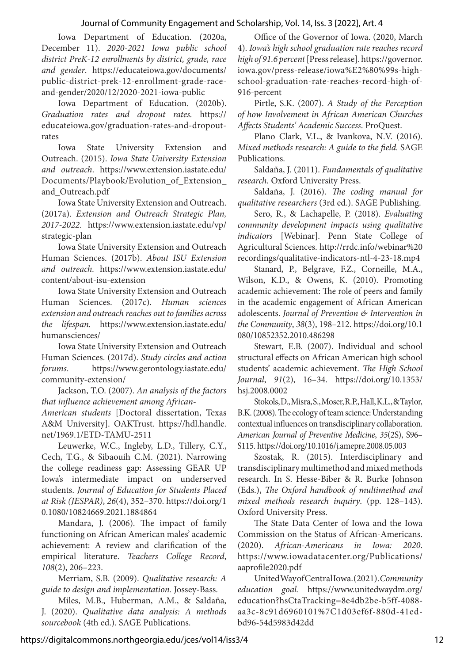Iowa Department of Education. (2020a, December 11). *2020-2021 Iowa public school district PreK-12 enrollments by district, grade, race and gender*. https://educateiowa.gov/documents/ public-district-prek-12-enrollment-grade-raceand-gender/2020/12/2020-2021-iowa-public

Iowa Department of Education. (2020b). *Graduation rates and dropout rates.* https:// educateiowa.gov/graduation-rates-and-dropoutrates

Iowa State University Extension and Outreach. (2015). *Iowa State University Extension and outreach*. https://www.extension.iastate.edu/ Documents/Playbook/Evolution\_of\_Extension\_ and\_Outreach.pdf

Iowa State University Extension and Outreach. (2017a). *Extension and Outreach Strategic Plan, 2017-2022.* https://www.extension.iastate.edu/vp/ strategic-plan

Iowa State University Extension and Outreach Human Sciences. (2017b). *About ISU Extension and outreach.* https://www.extension.iastate.edu/ content/about-isu-extension

Iowa State University Extension and Outreach Human Sciences. (2017c). *Human sciences extension and outreach reaches out to families across the lifespan.* https://www.extension.iastate.edu/ humansciences/

Iowa State University Extension and Outreach Human Sciences. (2017d). *Study circles and action forums*. https://www.gerontology.iastate.edu/ community-extension/

Jackson, T.O. (2007). *An analysis of the factors that influence achievement among African-*

*American students* [Doctoral dissertation, Texas A&M University]. OAKTrust. https://hdl.handle. net/1969.1/ETD-TAMU-2511

Leuwerke, W.C., Ingleby, L.D., Tillery, C.Y., Cech, T.G., & Sibaouih C.M. (2021). Narrowing the college readiness gap: Assessing GEAR UP Iowa's intermediate impact on underserved students. *Journal of Education for Students Placed at Risk (JESPAR)*, *26*(4), 352–370. https://doi.org/1 0.1080/10824669.2021.1884864

Mandara, J. (2006). The impact of family functioning on African American males' academic achievement: A review and clarification of the empirical literature. *Teachers College Record*, *108*(2), 206–223.

Merriam, S.B. (2009). *Qualitative research: A guide to design and implementation.* Jossey-Bass.

Miles, M.B., Huberman, A.M., & Saldaña, J. (2020). *Qualitative data analysis: A methods sourcebook* (4th ed.). SAGE Publications.

Office of the Governor of Iowa. (2020, March 4). *Iowa's high school graduation rate reaches record high of 91.6 percent* [Press release]. https://governor. iowa.gov/press-release/iowa%E2%80%99s-highschool-graduation-rate-reaches-record-high-of-916-percent

Pirtle, S.K. (2007). *A Study of the Perception of how Involvement in African American Churches Affects Students' Academic Success*. ProQuest.

Plano Clark, V.L., & Ivankova, N.V. (2016). *Mixed methods research: A guide to the field.* SAGE Publications.

Saldaña, J. (2011). *Fundamentals of qualitative research.* Oxford University Press.

Saldaña, J. (2016). *The coding manual for qualitative researchers* (3rd ed.). SAGE Publishing.

Sero, R., & Lachapelle, P. (2018). *Evaluating community development impacts using qualitative indicators* [Webinar]. Penn State College of Agricultural Sciences. http://rrdc.info/webinar%20 recordings/qualitative-indicators-ntl-4-23-18.mp4

Stanard, P., Belgrave, F.Z., Corneille, M.A., Wilson, K.D., & Owens, K. (2010). Promoting academic achievement: The role of peers and family in the academic engagement of African American adolescents. *Journal of Prevention & Intervention in the Community*, *38*(3), 198–212. https://doi.org/10.1 080/10852352.2010.486298

Stewart, E.B. (2007). Individual and school structural effects on African American high school students' academic achievement. *The High School Journal*, *91*(2), 16–34. https://doi.org/10.1353/ hsj.2008.0002

Stokols, D., Misra, S., Moser, R.P., Hall, K.L., & Taylor, B.K. (2008). The ecology of team science: Understanding contextual influences on transdisciplinary collaboration. *American Journal of Preventive Medicine*, *35*(2S), S96– S115. https://doi.org/10.1016/j.amepre.2008.05.003

Szostak, R. (2015). Interdisciplinary and transdisciplinary multimethod and mixed methods research. In S. Hesse-Biber & R. Burke Johnson (Eds.), *The Oxford handbook of multimethod and mixed methods research inquiry*. (pp. 128–143). Oxford University Press.

The State Data Center of Iowa and the Iowa Commission on the Status of African-Americans. (2020). *African-Americans in Iowa: 2020*. https://www.iowadatacenter.org/Publications/ aaprofile2020.pdf

United Way of Central Iowa. (2021). *Community education goal.* https://www.unitedwaydm.org/ education?hsCtaTracking=8e4db2be-b5ff-4088 aa3c-8c91d6960101%7C1d03ef6f-880d-41edbd96-54d5983d42dd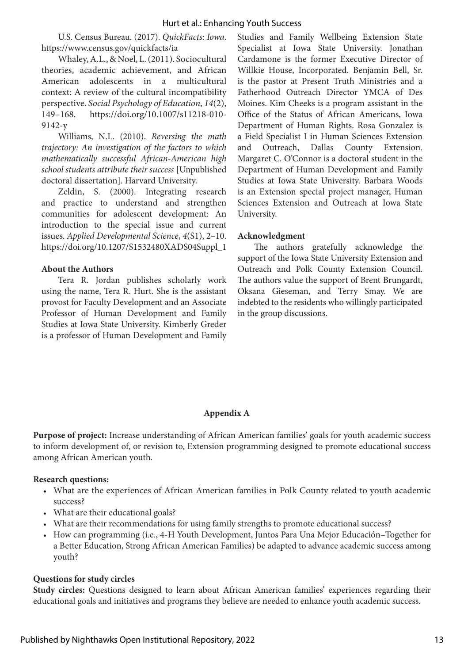U.S. Census Bureau. (2017). *QuickFacts: Iowa*. https://www.census.gov/quickfacts/ia

Whaley, A.L., & Noel, L. (2011). Sociocultural theories, academic achievement, and African American adolescents in a multicultural context: A review of the cultural incompatibility perspective. *Social Psychology of Education*, *14*(2), 149–168. https://doi.org/10.1007/s11218-010- 9142-y

Williams, N.L. (2010). *Reversing the math trajectory: An investigation of the factors to which mathematically successful African-American high school students attribute their success* [Unpublished doctoral dissertation]. Harvard University.

Zeldin, S. (2000). Integrating research and practice to understand and strengthen communities for adolescent development: An introduction to the special issue and current issues. *Applied Developmental Science*, *4*(S1), 2–10. https://doi.org/10.1207/S1532480XADS04Suppl\_1

## **About the Authors**

Tera R. Jordan publishes scholarly work using the name, Tera R. Hurt. She is the assistant provost for Faculty Development and an Associate Professor of Human Development and Family Studies at Iowa State University. Kimberly Greder is a professor of Human Development and Family

Studies and Family Wellbeing Extension State Specialist at Iowa State University. Jonathan Cardamone is the former Executive Director of Willkie House, Incorporated. Benjamin Bell, Sr. is the pastor at Present Truth Ministries and a Fatherhood Outreach Director YMCA of Des Moines. Kim Cheeks is a program assistant in the Office of the Status of African Americans, Iowa Department of Human Rights. Rosa Gonzalez is a Field Specialist I in Human Sciences Extension and Outreach, Dallas County Extension. Margaret C. O'Connor is a doctoral student in the Department of Human Development and Family Studies at Iowa State University. Barbara Woods is an Extension special project manager, Human Sciences Extension and Outreach at Iowa State University.

## **Acknowledgment**

The authors gratefully acknowledge the support of the Iowa State University Extension and Outreach and Polk County Extension Council. The authors value the support of Brent Brungardt, Oksana Gieseman, and Terry Smay. We are indebted to the residents who willingly participated in the group discussions.

## **Appendix A**

**Purpose of project:** Increase understanding of African American families' goals for youth academic success to inform development of, or revision to, Extension programming designed to promote educational success among African American youth.

## **Research questions:**

- What are the experiences of African American families in Polk County related to youth academic success?
- What are their educational goals?
- What are their recommendations for using family strengths to promote educational success?
- How can programming (i.e., 4-H Youth Development, Juntos Para Una Mejor Educación–Together for a Better Education, Strong African American Families) be adapted to advance academic success among youth?

#### **Questions for study circles**

**Study circles:** Questions designed to learn about African American families' experiences regarding their educational goals and initiatives and programs they believe are needed to enhance youth academic success.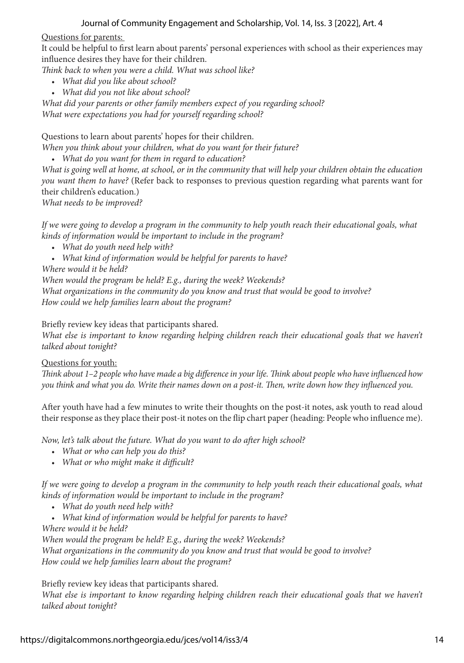Questions for parents:

It could be helpful to first learn about parents' personal experiences with school as their experiences may influence desires they have for their children.

*Think back to when you were a child. What was school like?*

- *What did you like about school?*
- *What did you not like about school?*

*What did your parents or other family members expect of you regarding school? What were expectations you had for yourself regarding school?*

Questions to learn about parents' hopes for their children.

*When you think about your children, what do you want for their future?*

• *What do you want for them in regard to education?*

*What is going well at home, at school, or in the community that will help your children obtain the education you want them to have?* (Refer back to responses to previous question regarding what parents want for their children's education.)

*What needs to be improved?*

*If we were going to develop a program in the community to help youth reach their educational goals, what kinds of information would be important to include in the program?*

- *What do youth need help with?*
- *What kind of information would be helpful for parents to have?*

*Where would it be held?*

*When would the program be held? E.g., during the week? Weekends?*

*What organizations in the community do you know and trust that would be good to involve? How could we help families learn about the program?*

Briefly review key ideas that participants shared.

*What else is important to know regarding helping children reach their educational goals that we haven't talked about tonight?*

Questions for youth:

*Think about 1–2 people who have made a big difference in your life. Think about people who have influenced how you think and what you do. Write their names down on a post-it. Then, write down how they influenced you.* 

After youth have had a few minutes to write their thoughts on the post-it notes, ask youth to read aloud their response as they place their post-it notes on the flip chart paper (heading: People who influence me).

*Now, let's talk about the future. What do you want to do after high school?*

- *What or who can help you do this?*
- *What or who might make it difficult?*

*If we were going to develop a program in the community to help youth reach their educational goals, what kinds of information would be important to include in the program?*

- *What do youth need help with?*
- *What kind of information would be helpful for parents to have?*

*Where would it be held?* 

*When would the program be held? E.g., during the week? Weekends?*

*What organizations in the community do you know and trust that would be good to involve? How could we help families learn about the program?*

Briefly review key ideas that participants shared.

*What else is important to know regarding helping children reach their educational goals that we haven't talked about tonight?*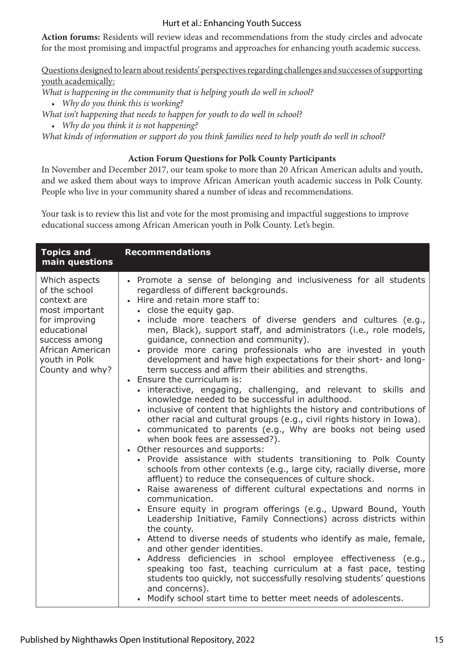**Action forums:** Residents will review ideas and recommendations from the study circles and advocate for the most promising and impactful programs and approaches for enhancing youth academic success.

Questions designed to learn about residents' perspectives regarding challenges and successes of supporting youth academically:

*What is happening in the community that is helping youth do well in school?*

• *Why do you think this is working?*

*What isn't happening that needs to happen for youth to do well in school?*

• *Why do you think it is not happening?*

*What kinds of information or support do you think families need to help youth do well in school?*

## **Action Forum Questions for Polk County Participants**

In November and December 2017, our team spoke to more than 20 African American adults and youth, and we asked them about ways to improve African American youth academic success in Polk County. People who live in your community shared a number of ideas and recommendations.

Your task is to review this list and vote for the most promising and impactful suggestions to improve educational success among African American youth in Polk County. Let's begin.

| <b>Topics and</b><br>main questions                                                                                                                                      | <b>Recommendations</b>                                                                                                                                                                                                                                                                                                                                                                                                                                                                                                                                                                                                                                                                                                                                                                                                                                                                                                                                                                                                                                                                                                                                                                                                                                                                                                                                                                                                                                                                                                                                                                                                                                                                                                                                                                                                                                               |
|--------------------------------------------------------------------------------------------------------------------------------------------------------------------------|----------------------------------------------------------------------------------------------------------------------------------------------------------------------------------------------------------------------------------------------------------------------------------------------------------------------------------------------------------------------------------------------------------------------------------------------------------------------------------------------------------------------------------------------------------------------------------------------------------------------------------------------------------------------------------------------------------------------------------------------------------------------------------------------------------------------------------------------------------------------------------------------------------------------------------------------------------------------------------------------------------------------------------------------------------------------------------------------------------------------------------------------------------------------------------------------------------------------------------------------------------------------------------------------------------------------------------------------------------------------------------------------------------------------------------------------------------------------------------------------------------------------------------------------------------------------------------------------------------------------------------------------------------------------------------------------------------------------------------------------------------------------------------------------------------------------------------------------------------------------|
| Which aspects<br>of the school<br>context are<br>most important<br>for improving<br>educational<br>success among<br>African American<br>youth in Polk<br>County and why? | • Promote a sense of belonging and inclusiveness for all students<br>regardless of different backgrounds.<br>. Hire and retain more staff to:<br>• close the equity gap.<br>· include more teachers of diverse genders and cultures (e.g.,<br>men, Black), support staff, and administrators (i.e., role models,<br>guidance, connection and community).<br>· provide more caring professionals who are invested in youth<br>development and have high expectations for their short- and long-<br>term success and affirm their abilities and strengths.<br>Ensure the curriculum is:<br>· interactive, engaging, challenging, and relevant to skills and<br>knowledge needed to be successful in adulthood.<br>• inclusive of content that highlights the history and contributions of<br>other racial and cultural groups (e.g., civil rights history in Iowa).<br>• communicated to parents (e.g., Why are books not being used<br>when book fees are assessed?).<br>• Other resources and supports:<br>• Provide assistance with students transitioning to Polk County<br>schools from other contexts (e.g., large city, racially diverse, more<br>affluent) to reduce the consequences of culture shock.<br>• Raise awareness of different cultural expectations and norms in<br>communication.<br>• Ensure equity in program offerings (e.g., Upward Bound, Youth<br>Leadership Initiative, Family Connections) across districts within<br>the county.<br>• Attend to diverse needs of students who identify as male, female,<br>and other gender identities.<br>· Address deficiencies in school employee effectiveness (e.g.,<br>speaking too fast, teaching curriculum at a fast pace, testing<br>students too quickly, not successfully resolving students' questions<br>and concerns).<br>• Modify school start time to better meet needs of adolescents. |